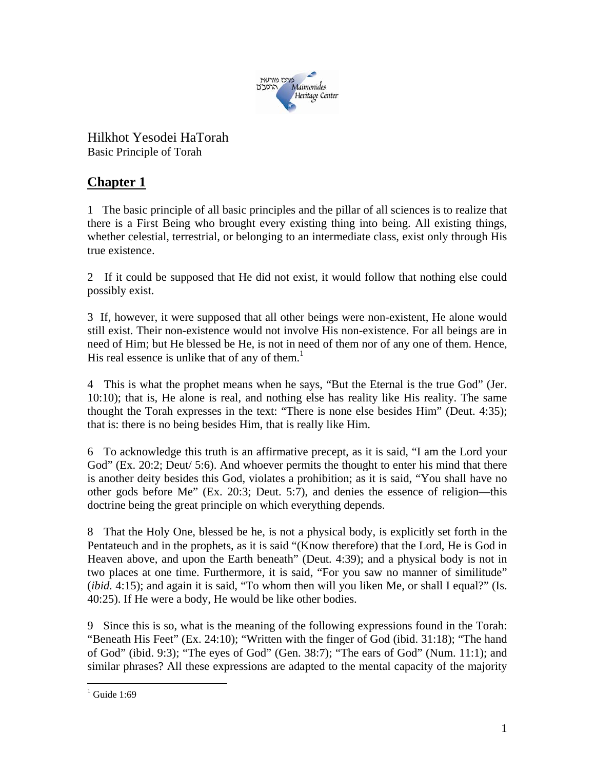

Hilkhot Yesodei HaTorah Basic Principle of Torah

## **Chapter 1**

1 The basic principle of all basic principles and the pillar of all sciences is to realize that there is a First Being who brought every existing thing into being. All existing things, whether celestial, terrestrial, or belonging to an intermediate class, exist only through His true existence.

2 If it could be supposed that He did not exist, it would follow that nothing else could possibly exist.

3 If, however, it were supposed that all other beings were non-existent, He alone would still exist. Their non-existence would not involve His non-existence. For all beings are in need of Him; but He blessed be He, is not in need of them nor of any one of them. Hence, His real essence is unlike that of any of them. $<sup>1</sup>$ </sup>

4 This is what the prophet means when he says, "But the Eternal is the true God" (Jer. 10:10); that is, He alone is real, and nothing else has reality like His reality. The same thought the Torah expresses in the text: "There is none else besides Him" (Deut. 4:35); that is: there is no being besides Him, that is really like Him.

6 To acknowledge this truth is an affirmative precept, as it is said, "I am the Lord your God" (Ex. 20:2; Deut/ 5:6). And whoever permits the thought to enter his mind that there is another deity besides this God, violates a prohibition; as it is said, "You shall have no other gods before Me" (Ex. 20:3; Deut. 5:7), and denies the essence of religion—this doctrine being the great principle on which everything depends.

8 That the Holy One, blessed be he, is not a physical body, is explicitly set forth in the Pentateuch and in the prophets, as it is said "(Know therefore) that the Lord, He is God in Heaven above, and upon the Earth beneath" (Deut. 4:39); and a physical body is not in two places at one time. Furthermore, it is said, "For you saw no manner of similitude" (*ibid.* 4:15); and again it is said, "To whom then will you liken Me, or shall I equal?" (Is. 40:25). If He were a body, He would be like other bodies.

9 Since this is so, what is the meaning of the following expressions found in the Torah: "Beneath His Feet" (Ex. 24:10); "Written with the finger of God (ibid. 31:18); "The hand of God" (ibid. 9:3); "The eyes of God" (Gen. 38:7); "The ears of God" (Num. 11:1); and similar phrases? All these expressions are adapted to the mental capacity of the majority

 $\overline{a}$  $<sup>1</sup>$  Guide 1:69</sup>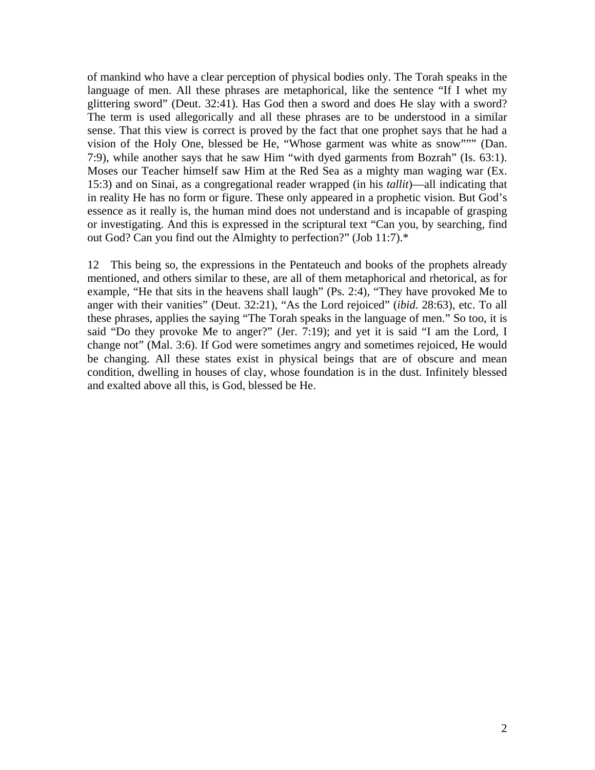of mankind who have a clear perception of physical bodies only. The Torah speaks in the language of men. All these phrases are metaphorical, like the sentence "If I whet my glittering sword" (Deut. 32:41). Has God then a sword and does He slay with a sword? The term is used allegorically and all these phrases are to be understood in a similar sense. That this view is correct is proved by the fact that one prophet says that he had a vision of the Holy One, blessed be He, "Whose garment was white as snow""" (Dan. 7:9), while another says that he saw Him "with dyed garments from Bozrah" (Is. 63:1). Moses our Teacher himself saw Him at the Red Sea as a mighty man waging war (Ex. 15:3) and on Sinai, as a congregational reader wrapped (in his *tallit*)—all indicating that in reality He has no form or figure. These only appeared in a prophetic vision. But God's essence as it really is, the human mind does not understand and is incapable of grasping or investigating. And this is expressed in the scriptural text "Can you, by searching, find out God? Can you find out the Almighty to perfection?" (Job 11:7).\*

12 This being so, the expressions in the Pentateuch and books of the prophets already mentioned, and others similar to these, are all of them metaphorical and rhetorical, as for example, "He that sits in the heavens shall laugh" (Ps. 2:4), "They have provoked Me to anger with their vanities" (Deut. 32:21), "As the Lord rejoiced" (*ibid*. 28:63), etc. To all these phrases, applies the saying "The Torah speaks in the language of men." So too, it is said "Do they provoke Me to anger?" (Jer. 7:19); and yet it is said "I am the Lord, I change not" (Mal. 3:6). If God were sometimes angry and sometimes rejoiced, He would be changing. All these states exist in physical beings that are of obscure and mean condition, dwelling in houses of clay, whose foundation is in the dust. Infinitely blessed and exalted above all this, is God, blessed be He.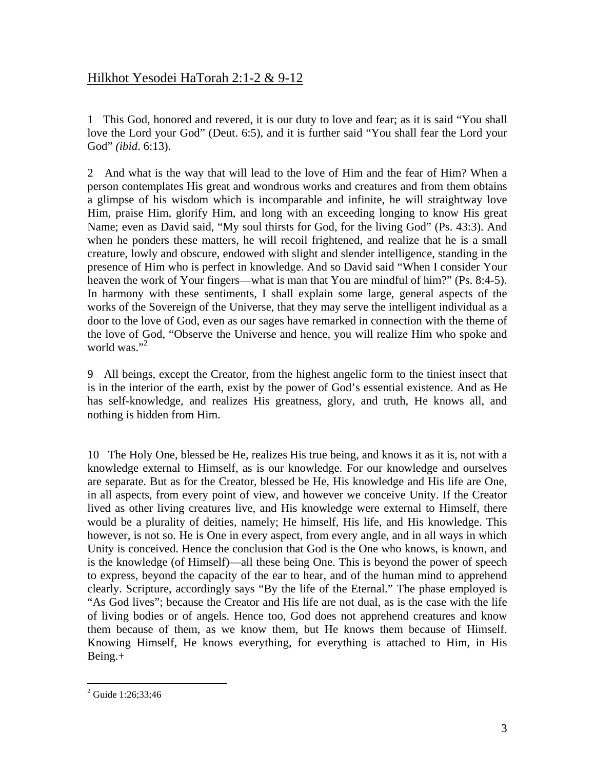## Hilkhot Yesodei HaTorah 2:1-2 & 9-12

1 This God, honored and revered, it is our duty to love and fear; as it is said "You shall love the Lord your God" (Deut. 6:5), and it is further said "You shall fear the Lord your God" *(ibid*. 6:13).

2 And what is the way that will lead to the love of Him and the fear of Him? When a person contemplates His great and wondrous works and creatures and from them obtains a glimpse of his wisdom which is incomparable and infinite, he will straightway love Him, praise Him, glorify Him, and long with an exceeding longing to know His great Name; even as David said, "My soul thirsts for God, for the living God" (Ps. 43:3). And when he ponders these matters, he will recoil frightened, and realize that he is a small creature, lowly and obscure, endowed with slight and slender intelligence, standing in the presence of Him who is perfect in knowledge. And so David said "When I consider Your heaven the work of Your fingers—what is man that You are mindful of him?" (Ps. 8:4-5). In harmony with these sentiments, I shall explain some large, general aspects of the works of the Sovereign of the Universe, that they may serve the intelligent individual as a door to the love of God, even as our sages have remarked in connection with the theme of the love of God, "Observe the Universe and hence, you will realize Him who spoke and world was."<sup>2</sup>

9 All beings, except the Creator, from the highest angelic form to the tiniest insect that is in the interior of the earth, exist by the power of God's essential existence. And as He has self-knowledge, and realizes His greatness, glory, and truth, He knows all, and nothing is hidden from Him.

10 The Holy One, blessed be He, realizes His true being, and knows it as it is, not with a knowledge external to Himself, as is our knowledge. For our knowledge and ourselves are separate. But as for the Creator, blessed be He, His knowledge and His life are One, in all aspects, from every point of view, and however we conceive Unity. If the Creator lived as other living creatures live, and His knowledge were external to Himself, there would be a plurality of deities, namely; He himself, His life, and His knowledge. This however, is not so. He is One in every aspect, from every angle, and in all ways in which Unity is conceived. Hence the conclusion that God is the One who knows, is known, and is the knowledge (of Himself)—all these being One. This is beyond the power of speech to express, beyond the capacity of the ear to hear, and of the human mind to apprehend clearly. Scripture, accordingly says "By the life of the Eternal." The phase employed is "As God lives"; because the Creator and His life are not dual, as is the case with the life of living bodies or of angels. Hence too, God does not apprehend creatures and know them because of them, as we know them, but He knows them because of Himself. Knowing Himself, He knows everything, for everything is attached to Him, in His Being.+

 $\overline{a}$ 

 $2^2$  Guide 1:26;33;46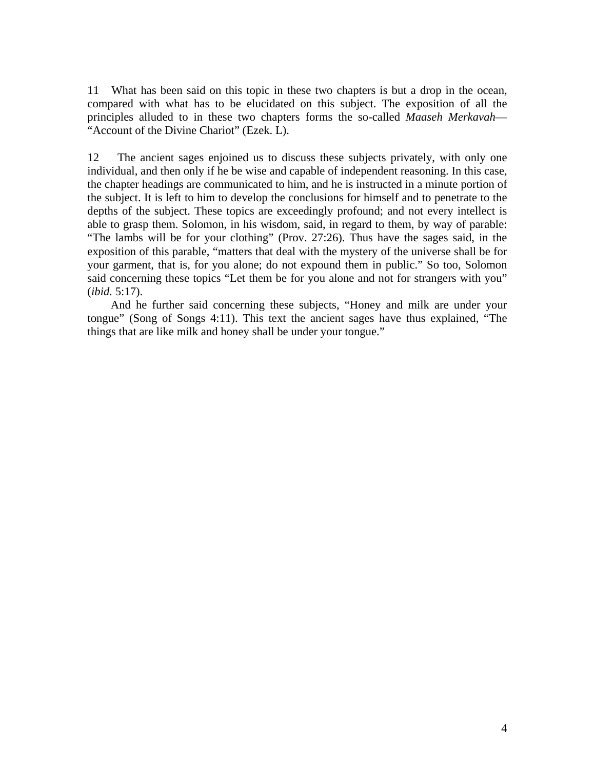11 What has been said on this topic in these two chapters is but a drop in the ocean, compared with what has to be elucidated on this subject. The exposition of all the principles alluded to in these two chapters forms the so-called *Maaseh Merkavah*— "Account of the Divine Chariot" (Ezek. L).

12 The ancient sages enjoined us to discuss these subjects privately, with only one individual, and then only if he be wise and capable of independent reasoning. In this case, the chapter headings are communicated to him, and he is instructed in a minute portion of the subject. It is left to him to develop the conclusions for himself and to penetrate to the depths of the subject. These topics are exceedingly profound; and not every intellect is able to grasp them. Solomon, in his wisdom, said, in regard to them, by way of parable: "The lambs will be for your clothing" (Prov. 27:26). Thus have the sages said, in the exposition of this parable, "matters that deal with the mystery of the universe shall be for your garment, that is, for you alone; do not expound them in public." So too, Solomon said concerning these topics "Let them be for you alone and not for strangers with you" (*ibid.* 5:17).

 And he further said concerning these subjects, "Honey and milk are under your tongue" (Song of Songs 4:11). This text the ancient sages have thus explained, "The things that are like milk and honey shall be under your tongue."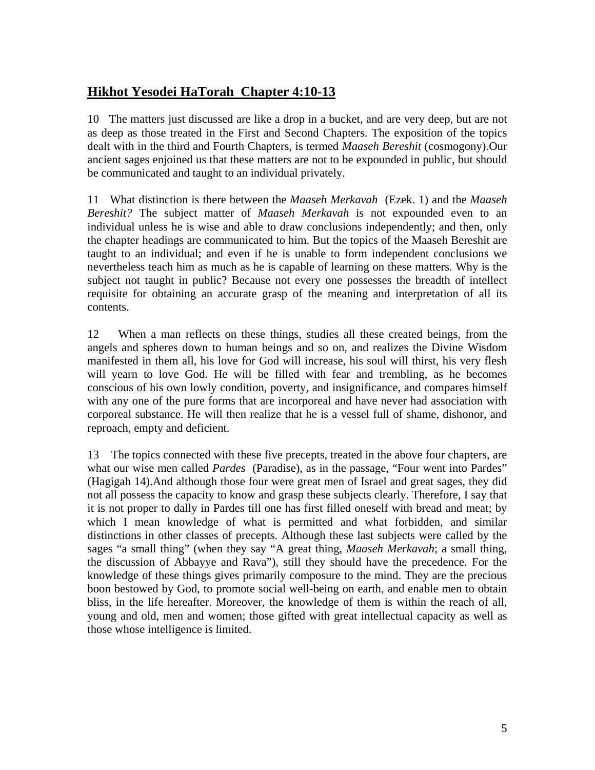## **Hikhot Yesodei HaTorah Chapter 4:10-13**

10 The matters just discussed are like a drop in a bucket, and are very deep, but are not as deep as those treated in the First and Second Chapters. The exposition of the topics dealt with in the third and Fourth Chapters, is termed *Maaseh Bereshit* (cosmogony).Our ancient sages enjoined us that these matters are not to be expounded in public, but should be communicated and taught to an individual privately.

11 What distinction is there between the *Maaseh Merkavah* (Ezek. 1) and the *Maaseh Bereshit?* The subject matter of *Maaseh Merkavah* is not expounded even to an individual unless he is wise and able to draw conclusions independently; and then, only the chapter headings are communicated to him. But the topics of the Maaseh Bereshit are taught to an individual; and even if he is unable to form independent conclusions we nevertheless teach him as much as he is capable of learning on these matters. Why is the subject not taught in public? Because not every one possesses the breadth of intellect requisite for obtaining an accurate grasp of the meaning and interpretation of all its contents.

12 When a man reflects on these things, studies all these created beings, from the angels and spheres down to human beings and so on, and realizes the Divine Wisdom manifested in them all, his love for God will increase, his soul will thirst, his very flesh will yearn to love God. He will be filled with fear and trembling, as he becomes conscious of his own lowly condition, poverty, and insignificance, and compares himself with any one of the pure forms that are incorporeal and have never had association with corporeal substance. He will then realize that he is a vessel full of shame, dishonor, and reproach, empty and deficient.

13 The topics connected with these five precepts, treated in the above four chapters, are what our wise men called *Pardes* (Paradise), as in the passage, "Four went into Pardes" (Hagigah 14).And although those four were great men of Israel and great sages, they did not all possess the capacity to know and grasp these subjects clearly. Therefore, I say that it is not proper to dally in Pardes till one has first filled oneself with bread and meat; by which I mean knowledge of what is permitted and what forbidden, and similar distinctions in other classes of precepts. Although these last subjects were called by the sages "a small thing" (when they say "A great thing, *Maaseh Merkavah*; a small thing, the discussion of Abbayye and Rava"), still they should have the precedence. For the knowledge of these things gives primarily composure to the mind. They are the precious boon bestowed by God, to promote social well-being on earth, and enable men to obtain bliss, in the life hereafter. Moreover, the knowledge of them is within the reach of all, young and old, men and women; those gifted with great intellectual capacity as well as those whose intelligence is limited.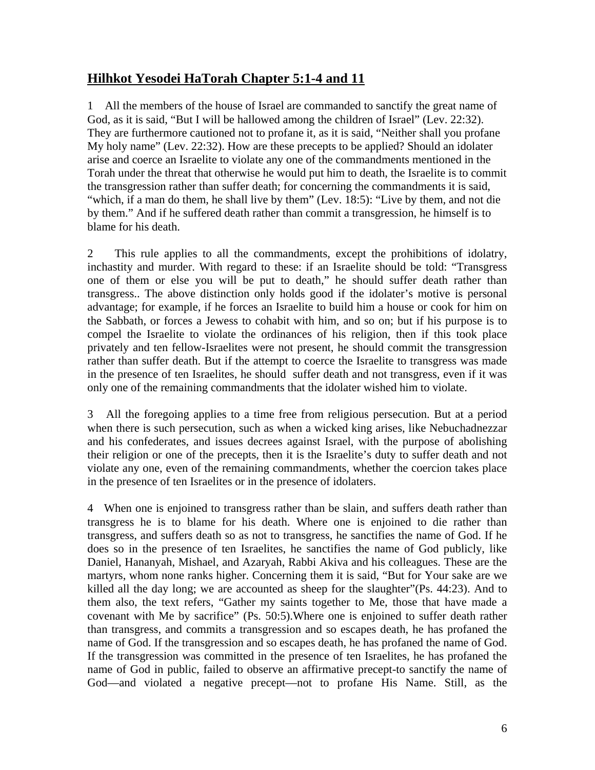## **Hilhkot Yesodei HaTorah Chapter 5:1-4 and 11**

1 All the members of the house of Israel are commanded to sanctify the great name of God, as it is said, "But I will be hallowed among the children of Israel" (Lev. 22:32). They are furthermore cautioned not to profane it, as it is said, "Neither shall you profane My holy name" (Lev. 22:32). How are these precepts to be applied? Should an idolater arise and coerce an Israelite to violate any one of the commandments mentioned in the Torah under the threat that otherwise he would put him to death, the Israelite is to commit the transgression rather than suffer death; for concerning the commandments it is said, "which, if a man do them, he shall live by them" (Lev. 18:5): "Live by them, and not die by them." And if he suffered death rather than commit a transgression, he himself is to blame for his death.

2 This rule applies to all the commandments, except the prohibitions of idolatry, inchastity and murder. With regard to these: if an Israelite should be told: "Transgress one of them or else you will be put to death," he should suffer death rather than transgress.. The above distinction only holds good if the idolater's motive is personal advantage; for example, if he forces an Israelite to build him a house or cook for him on the Sabbath, or forces a Jewess to cohabit with him, and so on; but if his purpose is to compel the Israelite to violate the ordinances of his religion, then if this took place privately and ten fellow-Israelites were not present, he should commit the transgression rather than suffer death. But if the attempt to coerce the Israelite to transgress was made in the presence of ten Israelites, he should suffer death and not transgress, even if it was only one of the remaining commandments that the idolater wished him to violate.

3 All the foregoing applies to a time free from religious persecution. But at a period when there is such persecution, such as when a wicked king arises, like Nebuchadnezzar and his confederates, and issues decrees against Israel, with the purpose of abolishing their religion or one of the precepts, then it is the Israelite's duty to suffer death and not violate any one, even of the remaining commandments, whether the coercion takes place in the presence of ten Israelites or in the presence of idolaters.

4 When one is enjoined to transgress rather than be slain, and suffers death rather than transgress he is to blame for his death. Where one is enjoined to die rather than transgress, and suffers death so as not to transgress, he sanctifies the name of God. If he does so in the presence of ten Israelites, he sanctifies the name of God publicly, like Daniel, Hananyah, Mishael, and Azaryah, Rabbi Akiva and his colleagues. These are the martyrs, whom none ranks higher. Concerning them it is said, "But for Your sake are we killed all the day long; we are accounted as sheep for the slaughter"(Ps. 44:23). And to them also, the text refers, "Gather my saints together to Me, those that have made a covenant with Me by sacrifice" (Ps. 50:5).Where one is enjoined to suffer death rather than transgress, and commits a transgression and so escapes death, he has profaned the name of God. If the transgression and so escapes death, he has profaned the name of God. If the transgression was committed in the presence of ten Israelites, he has profaned the name of God in public, failed to observe an affirmative precept-to sanctify the name of God—and violated a negative precept—not to profane His Name. Still, as the